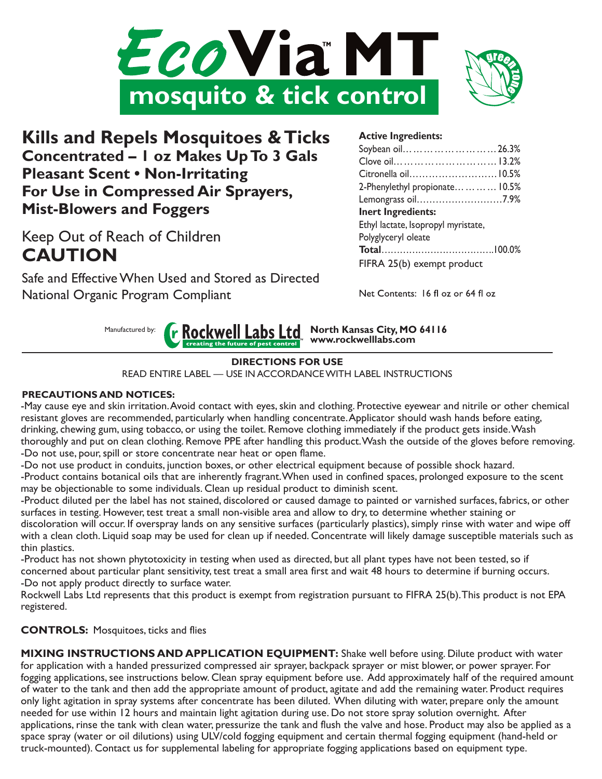



**Kills and Repels Mosquitoes & Ticks Concentrated – 1 oz Makes Up To 3 Gals Pleasant Scent • Non-Irritating For Use in Compressed Air Sprayers, Mist-Blowers and Foggers** 

Keep Out of Reach of Children **CAUTION**

Safe and EffectiveWhen Used and Stored as Directed National Organic Program Compliant

# **Active Ingredients:**

| Soybean oil26.3%                    |  |
|-------------------------------------|--|
| Clove oil 13.2%                     |  |
| Citronella oil 10.5%                |  |
| 2-Phenylethyl propionate 10.5%      |  |
| Lemongrass oil7.9%                  |  |
| <b>Inert Ingredients:</b>           |  |
| Ethyl lactate, Isopropyl myristate, |  |
| Polyglyceryl oleate                 |  |
|                                     |  |
| FIFRA 25(b) exempt product          |  |

Net Contents: 16 fl oz or 64 fl oz

**North Kansas City, MO 64116** Manufactured by: **r** Rockwell Labs Ltd **www.rockwelllabs.com**

### **DIRECTIONS FOR USE**

READ ENTIRE LABEL — USE IN ACCORDANCEWITH LABEL INSTRUCTIONS

### **PRECAUTIONS AND NOTICES:**

-May cause eye and skin irritation. Avoid contact with eyes, skin and clothing. Protective eyewear and nitrile or other chemical resistant gloves are recommended, particularly when handling concentrate. Applicator should wash hands before eating, drinking, chewing gum, using tobacco, or using the toilet. Remove clothing immediately if the product gets inside. Wash thoroughly and put on clean clothing. Remove PPE after handling this product. Wash the outside of the gloves before removing. -Do not use, pour, spill or store concentrate near heat or open flame.

-Do not use product in conduits, junction boxes, or other electrical equipment because of possible shock hazard. -Product contains botanical oils that are inherently fragrant. When used in confined spaces, prolonged exposure to the scent may be objectionable to some individuals. Clean up residual product to diminish scent.

-Product diluted per the label has not stained, discolored or caused damage to painted or varnished surfaces, fabrics, or other surfaces in testing. However, test treat a small non-visible area and allow to dry, to determine whether staining or

discoloration will occur. If overspray lands on any sensitive surfaces (particularly plastics), simply rinse with water and wipe off with a clean cloth. Liquid soap may be used for clean up if needed. Concentrate will likely damage susceptible materials such as thin plastics.

-Product has not shown phytotoxicity in testing when used as directed, but all plant types have not been tested, so if concerned about particular plant sensitivity, test treat a small area first and wait 48 hours to determine if burning occurs. -Do not apply product directly to surface water.

Rockwell Labs Ltd represents that this product is exempt from registration pursuant to FIFRA 25(b). This product is not EPA registered.

**CONTROLS:** Mosquitoes, ticks and flies

**MIXING INSTRUCTIONS AND APPLICATION EQUIPMENT:** Shake well before using. Dilute product with water for application with a handed pressurized compressed air sprayer, backpack sprayer or mist blower, or power sprayer. For fogging applications, see instructions below. Clean spray equipment before use. Add approximately half of the required amount of water to the tank and then add the appropriate amount of product, agitate and add the remaining water. Product requires only light agitation in spray systems after concentrate has been diluted. When diluting with water, prepare only the amount needed for use within 12 hours and maintain light agitation during use. Do not store spray solution overnight. After applications, rinse the tank with clean water, pressurize the tank and flush the valve and hose. Product may also be applied as a space spray (water or oil dilutions) using ULV/cold fogging equipment and certain thermal fogging equipment (hand-held or truck-mounted). Contact us for supplemental labeling for appropriate fogging applications based on equipment type.